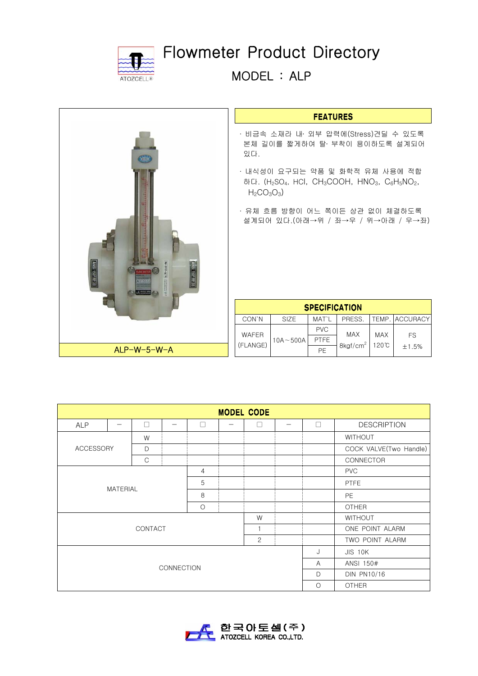

## Flowmeter Product Directory

MODEL : ALP

## **FEATURES**

- ∙ 비금속 소재라 내․ 외부 압력에(Stress)견딜 수 있도록 본체 길이를 짧게하여 탈․ 부착이 용이하도록 설계되어 있다.
- ∙ 내식성이 요구되는 약품 및 화학적 유체 사용에 적합 하다.  $(H<sub>2</sub>SO<sub>4</sub>$ , HCl, CH<sub>3</sub>COOH, HNO<sub>3</sub>, C<sub>6</sub>H<sub>5</sub>NO<sub>2</sub>,  $H<sub>2</sub>CO<sub>3</sub>O<sub>3</sub>$
- ∙ 유체 흐름 방향이 어느 쪽이든 상관 없이 체결하도록 설계되어 있다.(아래→위 / 좌→우 / 위→아래 / 우→좌)

| <b>SPECIFICATION</b>     |              |             |                      |                     |                       |  |  |
|--------------------------|--------------|-------------|----------------------|---------------------|-----------------------|--|--|
| CON'N                    | <b>SIZE</b>  | MAT`I       | PRESS.               |                     | <b>TEMP. ACCURACY</b> |  |  |
| <b>WAFER</b><br>(FLANGE) | $10A - 500A$ | <b>PVC</b>  | <b>MAX</b>           | <b>MAX</b><br>120°C |                       |  |  |
|                          |              | <b>PTFE</b> |                      |                     | FS                    |  |  |
|                          |              | PF          | 8kgf/cm <sup>2</sup> |                     | $+1.5%$               |  |  |

| <b>MODEL CODE</b>                    |  |              |  |   |         |              |                |        |                        |  |
|--------------------------------------|--|--------------|--|---|---------|--------------|----------------|--------|------------------------|--|
| <b>ALP</b>                           |  | П            |  | П |         | $\Box$       |                | $\Box$ | <b>DESCRIPTION</b>     |  |
| <b>ACCESSORY</b>                     |  | W            |  |   |         |              |                |        | <b>WITHOUT</b>         |  |
|                                      |  | D            |  |   |         |              |                |        | COCK VALVE(Two Handle) |  |
|                                      |  | $\mathsf{C}$ |  |   |         |              |                |        | CONNECTOR              |  |
| $\overline{4}$                       |  |              |  |   |         |              |                |        | <b>PVC</b>             |  |
| 5<br><b>MATERIAL</b><br>8<br>$\circ$ |  |              |  |   |         |              | <b>PTFE</b>    |        |                        |  |
|                                      |  |              |  |   |         |              |                |        | <b>PE</b>              |  |
|                                      |  |              |  |   |         |              |                |        | <b>OTHER</b>           |  |
| W                                    |  |              |  |   |         |              | <b>WITHOUT</b> |        |                        |  |
| <b>CONTACT</b>                       |  |              |  |   |         |              |                |        | ONE POINT ALARM        |  |
|                                      |  |              |  |   |         | 2            |                |        | TWO POINT ALARM        |  |
| <b>CONNECTION</b>                    |  |              |  |   |         | J            | <b>JIS 10K</b> |        |                        |  |
|                                      |  |              |  |   |         |              |                |        | ANSI 150#              |  |
|                                      |  |              |  |   |         |              |                |        | <b>DIN PN10/16</b>     |  |
|                                      |  |              |  |   | $\circ$ | <b>OTHER</b> |                |        |                        |  |